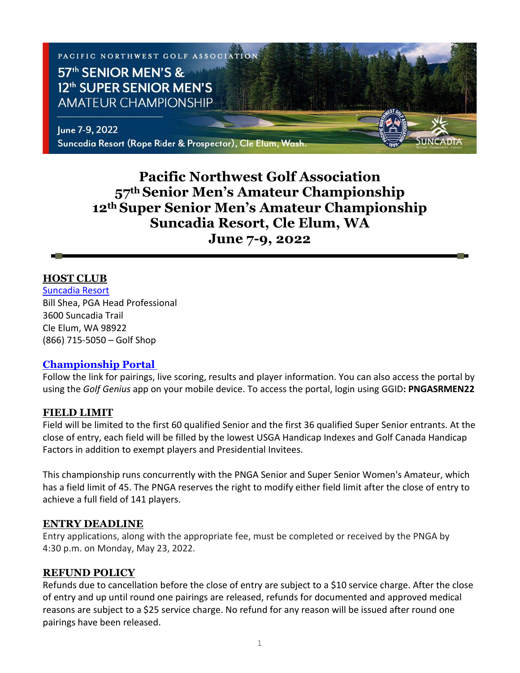

# **Pacific Northwest Golf Association 57th Senior Men's Amateur Championship 12th Super Senior Men's Amateur Championship Suncadia Resort, Cle Elum, WA June 7-9, 2022**

#### **HOST CLUB**

[Suncadia Resort](https://www.destinationhotels.com/suncadia-resort/golf) Bill Shea, PGA Head Professional 3600 Suncadia Trail Cle Elum, WA 98922 (866) 715-5050 – Golf Shop

#### **[Championship Portal](https://www.golfgenius.com/pages/8118388327813509071)**

Follow the link for pairings, live scoring, results and player information. You can also access the portal by using the *Golf Genius* app on your mobile device. To access the portal, login using GGID**: PNGASRMEN22**

#### **FIELD LIMIT**

Field will be limited to the first 60 qualified Senior and the first 36 qualified Super Senior entrants. At the close of entry, each field will be filled by the lowest USGA Handicap Indexes and Golf Canada Handicap Factors in addition to exempt players and Presidential Invitees.

This championship runs concurrently with the PNGA Senior and Super Senior Women's Amateur, which has a field limit of 45. The PNGA reserves the right to modify either field limit after the close of entry to achieve a full field of 141 players.

#### **ENTRY DEADLINE**

Entry applications, along with the appropriate fee, must be completed or received by the PNGA by 4:30 p.m. on Monday, May 23, 2022.

#### **REFUND POLICY**

Refunds due to cancellation before the close of entry are subject to a \$10 service charge. After the close of entry and up until round one pairings are released, refunds for documented and approved medical reasons are subject to a \$25 service charge. No refund for any reason will be issued after round one pairings have been released.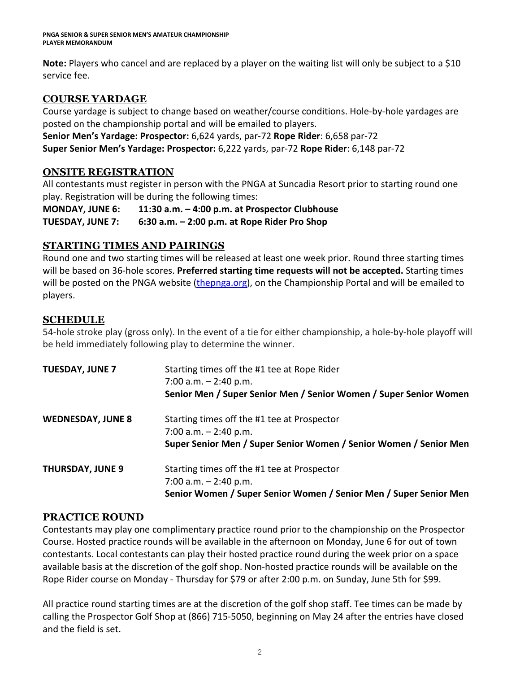**Note:** Players who cancel and are replaced by a player on the waiting list will only be subject to a \$10 service fee.

## **COURSE YARDAGE**

Course yardage is subject to change based on weather/course conditions. Hole-by-hole yardages are posted on the championship portal and will be emailed to players.

**Senior Men's Yardage: Prospector:** 6,624 yards, par-72 **Rope Rider**: 6,658 par-72 **Super Senior Men's Yardage: Prospector:** 6,222 yards, par-72 **Rope Rider**: 6,148 par-72

## **ONSITE REGISTRATION**

All contestants must register in person with the PNGA at Suncadia Resort prior to starting round one play. Registration will be during the following times:

**MONDAY, JUNE 6: 11:30 a.m. – 4:00 p.m. at Prospector Clubhouse TUESDAY, JUNE 7: 6:30 a.m. – 2:00 p.m. at Rope Rider Pro Shop**

## **STARTING TIMES AND PAIRINGS**

Round one and two starting times will be released at least one week prior. Round three starting times will be based on 36-hole scores. **Preferred starting time requests will not be accepted.** Starting times will be posted on the PNGA website [\(thepnga.org\)](http://www.thepnga.org/), on the Championship Portal and will be emailed to players.

## **SCHEDULE**

54-hole stroke play (gross only). In the event of a tie for either championship, a hole-by-hole playoff will be held immediately following play to determine the winner.

| <b>TUESDAY, JUNE 7</b>   | Starting times off the #1 tee at Rope Rider<br>7:00 a.m. $-2:40$ p.m.<br>Senior Men / Super Senior Men / Senior Women / Super Senior Women  |
|--------------------------|---------------------------------------------------------------------------------------------------------------------------------------------|
| <b>WEDNESDAY, JUNE 8</b> | Starting times off the #1 tee at Prospector<br>7:00 a.m. $-2:40$ p.m.<br>Super Senior Men / Super Senior Women / Senior Women / Senior Men  |
| <b>THURSDAY, JUNE 9</b>  | Starting times off the #1 tee at Prospector<br>7:00 a.m. $-$ 2:40 p.m.<br>Senior Women / Super Senior Women / Senior Men / Super Senior Men |

## **PRACTICE ROUND**

Contestants may play one complimentary practice round prior to the championship on the Prospector Course. Hosted practice rounds will be available in the afternoon on Monday, June 6 for out of town contestants. Local contestants can play their hosted practice round during the week prior on a space available basis at the discretion of the golf shop. Non-hosted practice rounds will be available on the Rope Rider course on Monday - Thursday for \$79 or after 2:00 p.m. on Sunday, June 5th for \$99.

All practice round starting times are at the discretion of the golf shop staff. Tee times can be made by calling the Prospector Golf Shop at (866) 715-5050, beginning on May 24 after the entries have closed and the field is set.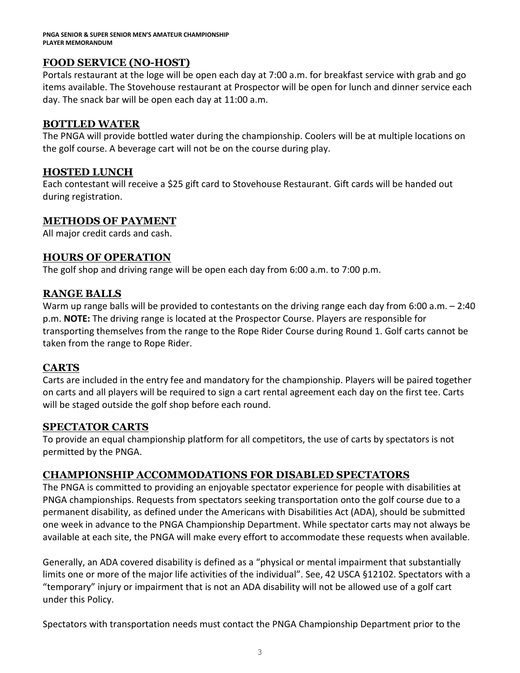## **FOOD SERVICE (NO-HOST)**

Portals restaurant at the loge will be open each day at 7:00 a.m. for breakfast service with grab and go items available. The Stovehouse restaurant at Prospector will be open for lunch and dinner service each day. The snack bar will be open each day at 11:00 a.m.

## **BOTTLED WATER**

The PNGA will provide bottled water during the championship. Coolers will be at multiple locations on the golf course. A beverage cart will not be on the course during play.

## **HOSTED LUNCH**

Each contestant will receive a \$25 gift card to Stovehouse Restaurant. Gift cards will be handed out during registration.

## **METHODS OF PAYMENT**

All major credit cards and cash.

## **HOURS OF OPERATION**

The golf shop and driving range will be open each day from 6:00 a.m. to 7:00 p.m.

## **RANGE BALLS**

Warm up range balls will be provided to contestants on the driving range each day from 6:00 a.m. - 2:40 p.m. **NOTE:** The driving range is located at the Prospector Course. Players are responsible for transporting themselves from the range to the Rope Rider Course during Round 1. Golf carts cannot be taken from the range to Rope Rider.

## **CARTS**

Carts are included in the entry fee and mandatory for the championship. Players will be paired together on carts and all players will be required to sign a cart rental agreement each day on the first tee. Carts will be staged outside the golf shop before each round.

## **SPECTATOR CARTS**

To provide an equal championship platform for all competitors, the use of carts by spectators is not permitted by the PNGA.

## **CHAMPIONSHIP ACCOMMODATIONS FOR DISABLED SPECTATORS**

The PNGA is committed to providing an enjoyable spectator experience for people with disabilities at PNGA championships. Requests from spectators seeking transportation onto the golf course due to a permanent disability, as defined under the Americans with Disabilities Act (ADA), should be submitted one week in advance to the PNGA Championship Department. While spectator carts may not always be available at each site, the PNGA will make every effort to accommodate these requests when available.

Generally, an ADA covered disability is defined as a "physical or mental impairment that substantially limits one or more of the major life activities of the individual". See, 42 USCA §12102. Spectators with a "temporary" injury or impairment that is not an ADA disability will not be allowed use of a golf cart under this Policy.

Spectators with transportation needs must contact the PNGA Championship Department prior to the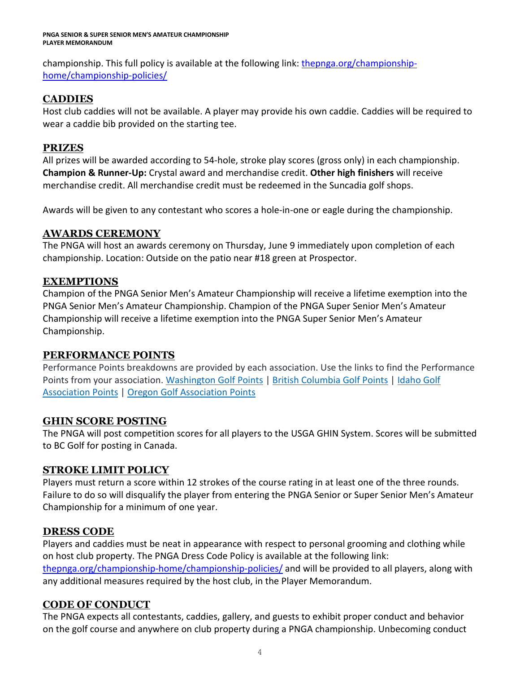#### **PNGA SENIOR & SUPER SENIOR MEN'S AMATEUR CHAMPIONSHIP PLAYER MEMORANDUM**

championship. This full policy is available at the following link: [thepnga.org/championship](https://thepnga.org/championship-home/championship-policies/)[home/championship-policies/](https://thepnga.org/championship-home/championship-policies/)

## **CADDIES**

Host club caddies will not be available. A player may provide his own caddie. Caddies will be required to wear a caddie bib provided on the starting tee.

## **PRIZES**

All prizes will be awarded according to 54-hole, stroke play scores (gross only) in each championship. **Champion & Runner-Up:** Crystal award and merchandise credit. **Other high finishers** will receive merchandise credit. All merchandise credit must be redeemed in the Suncadia golf shops.

Awards will be given to any contestant who scores a hole-in-one or eagle during the championship.

## **AWARDS CEREMONY**

The PNGA will host an awards ceremony on Thursday, June 9 immediately upon completion of each championship. Location: Outside on the patio near #18 green at Prospector.

## **EXEMPTIONS**

Champion of the PNGA Senior Men's Amateur Championship will receive a lifetime exemption into the PNGA Senior Men's Amateur Championship. Champion of the PNGA Super Senior Men's Amateur Championship will receive a lifetime exemption into the PNGA Super Senior Men's Amateur Championship.

## **PERFORMANCE POINTS**

Performance Points breakdowns are provided by each association. Use the links to find the Performance Points from your association. [Washington](https://wagolf.org/play/performance-points-list/) Golf Points | British [Columbia](http://britishcolumbiagolf.org/performance/orders-of-merit) Golf Points | [Idaho](http://theiga.org/championship-home/team-points-standings/) Golf [Association](http://theiga.org/championship-home/team-points-standings/) Points | Oregon Golf [Association](http://oga.org/competitions/points-lists) Points

## **GHIN SCORE POSTING**

The PNGA will post competition scores for all players to the USGA GHIN System. Scores will be submitted to BC Golf for posting in Canada.

## **STROKE LIMIT POLICY**

Players must return a score within 12 strokes of the course rating in at least one of the three rounds. Failure to do so will disqualify the player from entering the PNGA Senior or Super Senior Men's Amateur Championship for a minimum of one year.

## **DRESS CODE**

Players and caddies must be neat in appearance with respect to personal grooming and clothing while on host club property. The PNGA Dress Code Policy is available at the following link: [thepnga.org/championship-home/championship-policies/](https://thepnga.org/championship-home/championship-policies/) and will be provided to all players, along with any additional measures required by the host club, in the Player Memorandum.

## **CODE OF CONDUCT**

The PNGA expects all contestants, caddies, gallery, and guests to exhibit proper conduct and behavior on the golf course and anywhere on club property during a PNGA championship. Unbecoming conduct